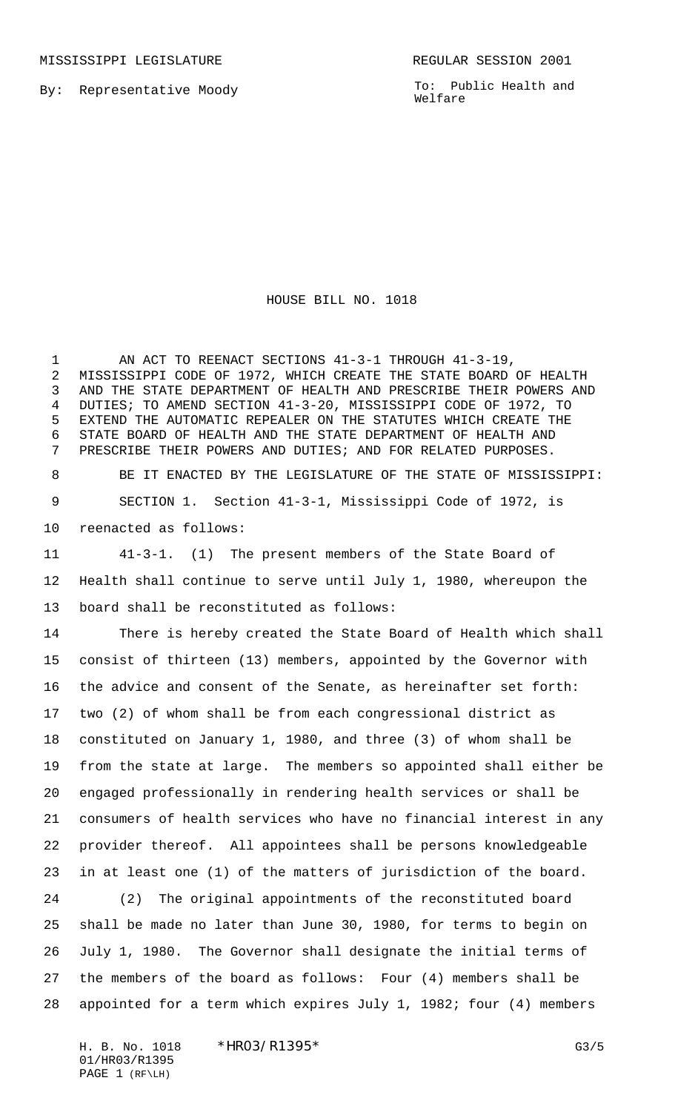MISSISSIPPI LEGISLATURE **REGULAR SESSION 2001** 

By: Representative Moody

To: Public Health and Welfare

HOUSE BILL NO. 1018

1 AN ACT TO REENACT SECTIONS 41-3-1 THROUGH 41-3-19, MISSISSIPPI CODE OF 1972, WHICH CREATE THE STATE BOARD OF HEALTH AND THE STATE DEPARTMENT OF HEALTH AND PRESCRIBE THEIR POWERS AND DUTIES; TO AMEND SECTION 41-3-20, MISSISSIPPI CODE OF 1972, TO EXTEND THE AUTOMATIC REPEALER ON THE STATUTES WHICH CREATE THE STATE BOARD OF HEALTH AND THE STATE DEPARTMENT OF HEALTH AND PRESCRIBE THEIR POWERS AND DUTIES; AND FOR RELATED PURPOSES.

 BE IT ENACTED BY THE LEGISLATURE OF THE STATE OF MISSISSIPPI: SECTION 1. Section 41-3-1, Mississippi Code of 1972, is reenacted as follows:

 41-3-1. (1) The present members of the State Board of Health shall continue to serve until July 1, 1980, whereupon the board shall be reconstituted as follows:

 There is hereby created the State Board of Health which shall consist of thirteen (13) members, appointed by the Governor with the advice and consent of the Senate, as hereinafter set forth: two (2) of whom shall be from each congressional district as constituted on January 1, 1980, and three (3) of whom shall be from the state at large. The members so appointed shall either be engaged professionally in rendering health services or shall be consumers of health services who have no financial interest in any provider thereof. All appointees shall be persons knowledgeable in at least one (1) of the matters of jurisdiction of the board. (2) The original appointments of the reconstituted board

 shall be made no later than June 30, 1980, for terms to begin on July 1, 1980. The Governor shall designate the initial terms of the members of the board as follows: Four (4) members shall be appointed for a term which expires July 1, 1982; four (4) members

H. B. No. 1018 \*HRO3/R1395\* G3/5 01/HR03/R1395 PAGE 1 (RF\LH)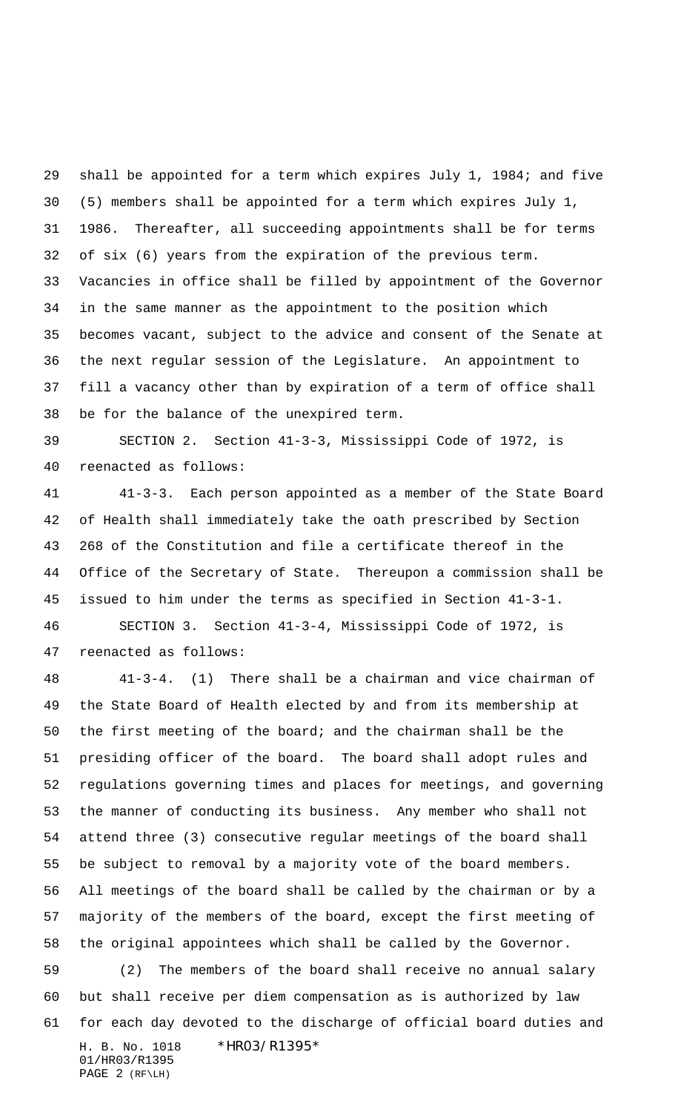shall be appointed for a term which expires July 1, 1984; and five (5) members shall be appointed for a term which expires July 1, 1986. Thereafter, all succeeding appointments shall be for terms of six (6) years from the expiration of the previous term. Vacancies in office shall be filled by appointment of the Governor in the same manner as the appointment to the position which becomes vacant, subject to the advice and consent of the Senate at the next regular session of the Legislature. An appointment to fill a vacancy other than by expiration of a term of office shall be for the balance of the unexpired term.

 SECTION 2. Section 41-3-3, Mississippi Code of 1972, is reenacted as follows:

 41-3-3. Each person appointed as a member of the State Board of Health shall immediately take the oath prescribed by Section 268 of the Constitution and file a certificate thereof in the Office of the Secretary of State. Thereupon a commission shall be issued to him under the terms as specified in Section 41-3-1. SECTION 3. Section 41-3-4, Mississippi Code of 1972, is reenacted as follows:

H. B. No. 1018 \*HR03/R1395\* 01/HR03/R1395 PAGE 2 (RF\LH) 41-3-4. (1) There shall be a chairman and vice chairman of the State Board of Health elected by and from its membership at the first meeting of the board; and the chairman shall be the presiding officer of the board. The board shall adopt rules and regulations governing times and places for meetings, and governing the manner of conducting its business. Any member who shall not attend three (3) consecutive regular meetings of the board shall be subject to removal by a majority vote of the board members. All meetings of the board shall be called by the chairman or by a majority of the members of the board, except the first meeting of the original appointees which shall be called by the Governor. (2) The members of the board shall receive no annual salary but shall receive per diem compensation as is authorized by law for each day devoted to the discharge of official board duties and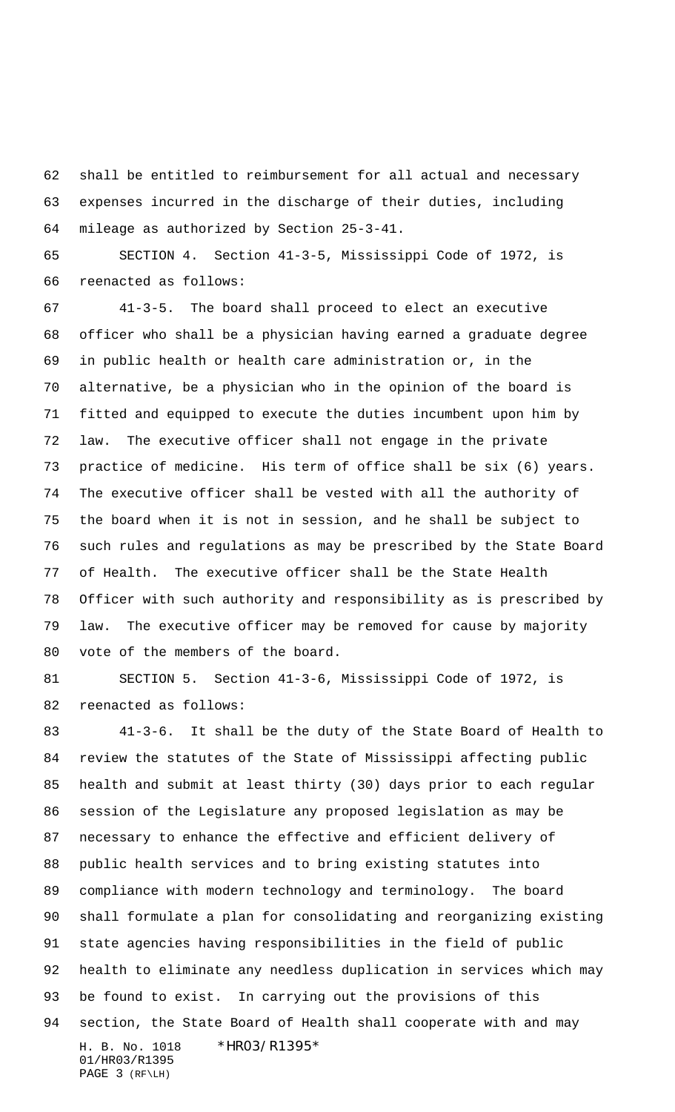shall be entitled to reimbursement for all actual and necessary expenses incurred in the discharge of their duties, including mileage as authorized by Section 25-3-41.

 SECTION 4. Section 41-3-5, Mississippi Code of 1972, is reenacted as follows:

 41-3-5. The board shall proceed to elect an executive officer who shall be a physician having earned a graduate degree in public health or health care administration or, in the alternative, be a physician who in the opinion of the board is fitted and equipped to execute the duties incumbent upon him by law. The executive officer shall not engage in the private practice of medicine. His term of office shall be six (6) years. The executive officer shall be vested with all the authority of the board when it is not in session, and he shall be subject to such rules and regulations as may be prescribed by the State Board of Health. The executive officer shall be the State Health Officer with such authority and responsibility as is prescribed by law. The executive officer may be removed for cause by majority vote of the members of the board.

 SECTION 5. Section 41-3-6, Mississippi Code of 1972, is reenacted as follows:

H. B. No. 1018 \*HR03/R1395\* 01/HR03/R1395 PAGE 3 (RF\LH) 41-3-6. It shall be the duty of the State Board of Health to review the statutes of the State of Mississippi affecting public health and submit at least thirty (30) days prior to each regular session of the Legislature any proposed legislation as may be necessary to enhance the effective and efficient delivery of public health services and to bring existing statutes into compliance with modern technology and terminology. The board shall formulate a plan for consolidating and reorganizing existing state agencies having responsibilities in the field of public health to eliminate any needless duplication in services which may be found to exist. In carrying out the provisions of this section, the State Board of Health shall cooperate with and may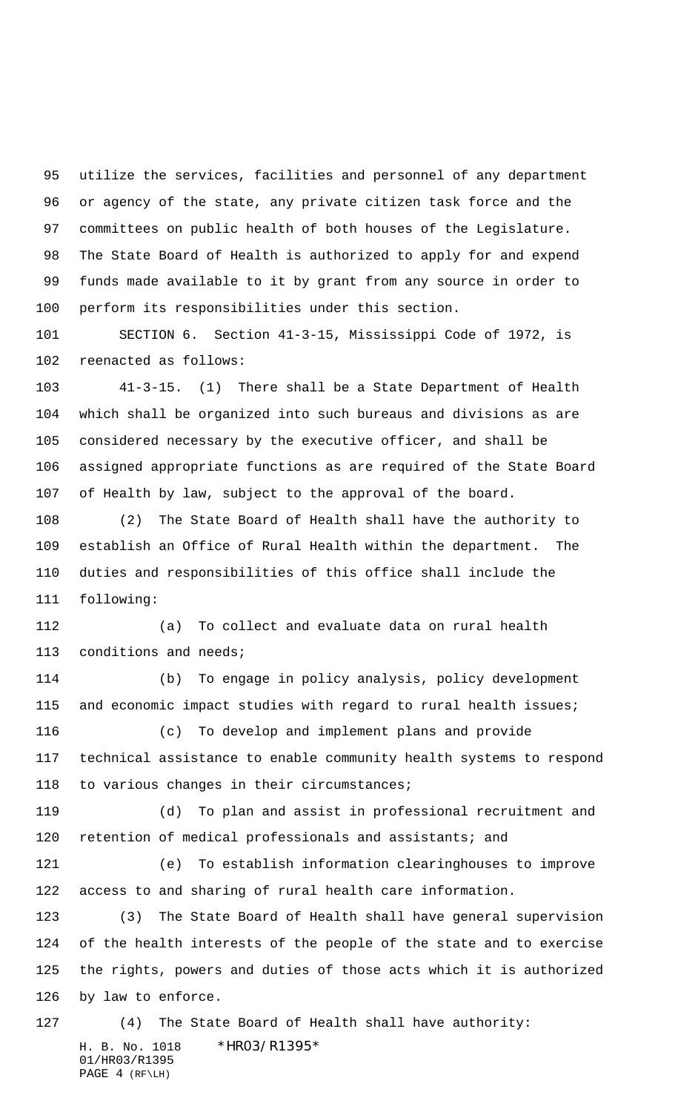utilize the services, facilities and personnel of any department or agency of the state, any private citizen task force and the committees on public health of both houses of the Legislature. The State Board of Health is authorized to apply for and expend funds made available to it by grant from any source in order to perform its responsibilities under this section.

 SECTION 6. Section 41-3-15, Mississippi Code of 1972, is reenacted as follows:

 41-3-15. (1) There shall be a State Department of Health which shall be organized into such bureaus and divisions as are considered necessary by the executive officer, and shall be assigned appropriate functions as are required of the State Board of Health by law, subject to the approval of the board.

 (2) The State Board of Health shall have the authority to establish an Office of Rural Health within the department. The duties and responsibilities of this office shall include the following:

 (a) To collect and evaluate data on rural health conditions and needs;

 (b) To engage in policy analysis, policy development 115 and economic impact studies with regard to rural health issues;

 (c) To develop and implement plans and provide technical assistance to enable community health systems to respond to various changes in their circumstances;

 (d) To plan and assist in professional recruitment and retention of medical professionals and assistants; and

 (e) To establish information clearinghouses to improve access to and sharing of rural health care information.

 (3) The State Board of Health shall have general supervision of the health interests of the people of the state and to exercise the rights, powers and duties of those acts which it is authorized by law to enforce.

H. B. No. 1018 \*HR03/R1395\* 01/HR03/R1395 PAGE 4 (RF\LH) (4) The State Board of Health shall have authority: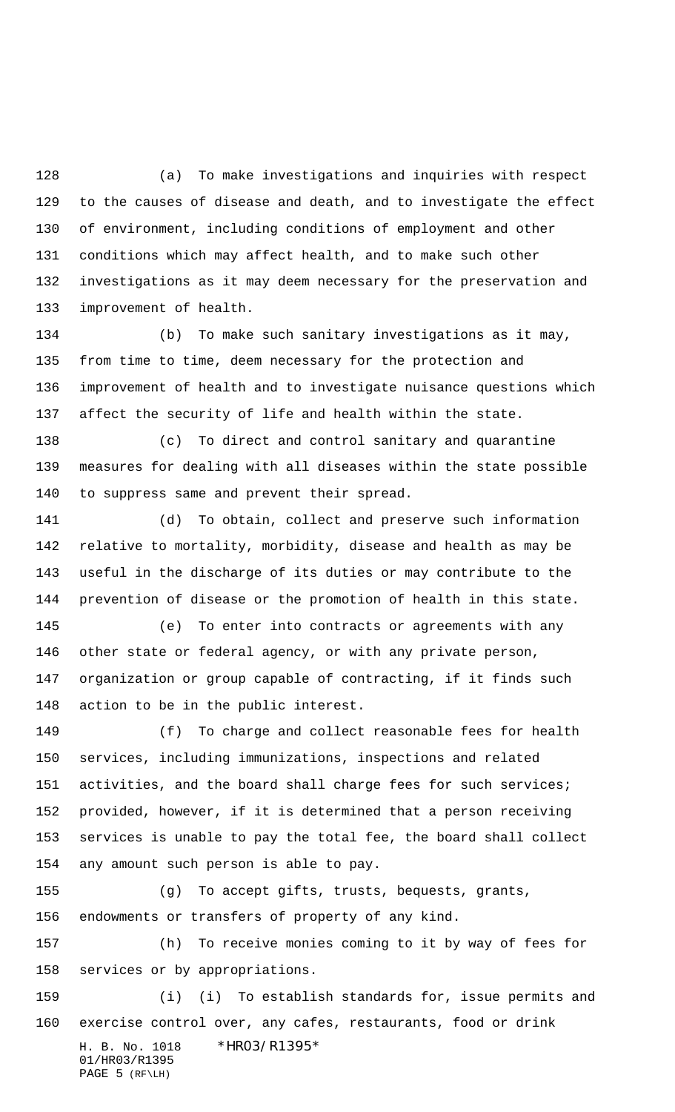(a) To make investigations and inquiries with respect to the causes of disease and death, and to investigate the effect of environment, including conditions of employment and other conditions which may affect health, and to make such other investigations as it may deem necessary for the preservation and improvement of health.

 (b) To make such sanitary investigations as it may, from time to time, deem necessary for the protection and improvement of health and to investigate nuisance questions which affect the security of life and health within the state.

 (c) To direct and control sanitary and quarantine measures for dealing with all diseases within the state possible to suppress same and prevent their spread.

 (d) To obtain, collect and preserve such information relative to mortality, morbidity, disease and health as may be useful in the discharge of its duties or may contribute to the prevention of disease or the promotion of health in this state.

 (e) To enter into contracts or agreements with any other state or federal agency, or with any private person, organization or group capable of contracting, if it finds such action to be in the public interest.

 (f) To charge and collect reasonable fees for health services, including immunizations, inspections and related activities, and the board shall charge fees for such services; provided, however, if it is determined that a person receiving services is unable to pay the total fee, the board shall collect any amount such person is able to pay.

 (g) To accept gifts, trusts, bequests, grants, endowments or transfers of property of any kind.

 (h) To receive monies coming to it by way of fees for services or by appropriations.

H. B. No. 1018 \*HR03/R1395\* (i) (i) To establish standards for, issue permits and exercise control over, any cafes, restaurants, food or drink

01/HR03/R1395 PAGE 5 (RF\LH)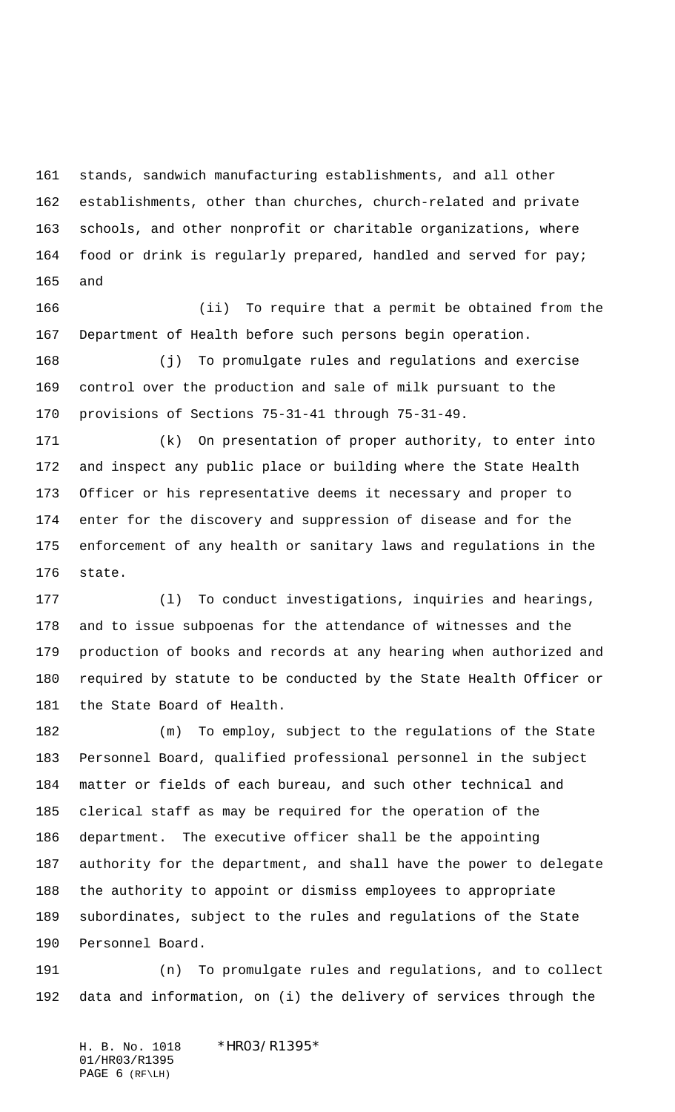stands, sandwich manufacturing establishments, and all other establishments, other than churches, church-related and private schools, and other nonprofit or charitable organizations, where 164 food or drink is regularly prepared, handled and served for pay; and

 (ii) To require that a permit be obtained from the Department of Health before such persons begin operation.

 (j) To promulgate rules and regulations and exercise control over the production and sale of milk pursuant to the provisions of Sections 75-31-41 through 75-31-49.

 (k) On presentation of proper authority, to enter into and inspect any public place or building where the State Health Officer or his representative deems it necessary and proper to enter for the discovery and suppression of disease and for the enforcement of any health or sanitary laws and regulations in the state.

 (l) To conduct investigations, inquiries and hearings, and to issue subpoenas for the attendance of witnesses and the production of books and records at any hearing when authorized and required by statute to be conducted by the State Health Officer or the State Board of Health.

 (m) To employ, subject to the regulations of the State Personnel Board, qualified professional personnel in the subject matter or fields of each bureau, and such other technical and clerical staff as may be required for the operation of the department. The executive officer shall be the appointing authority for the department, and shall have the power to delegate the authority to appoint or dismiss employees to appropriate subordinates, subject to the rules and regulations of the State Personnel Board.

 (n) To promulgate rules and regulations, and to collect data and information, on (i) the delivery of services through the

H. B. No. 1018 \*HR03/R1395\* 01/HR03/R1395 PAGE 6 (RF\LH)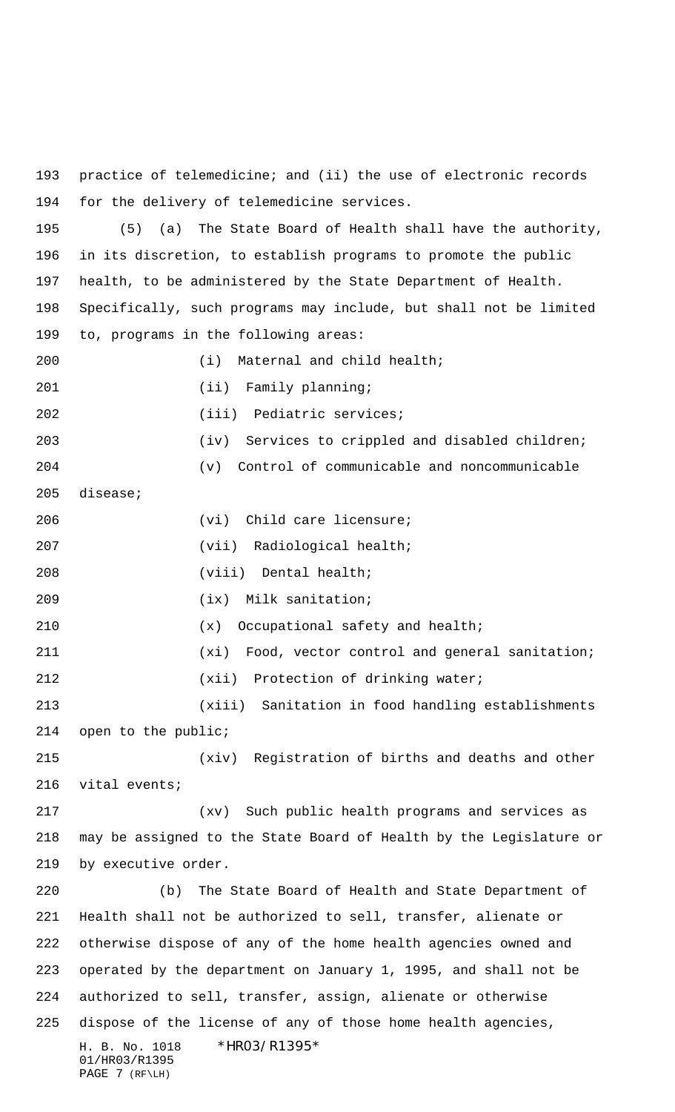practice of telemedicine; and (ii) the use of electronic records for the delivery of telemedicine services.

 (5) (a) The State Board of Health shall have the authority, in its discretion, to establish programs to promote the public health, to be administered by the State Department of Health. Specifically, such programs may include, but shall not be limited

 to, programs in the following areas: (i) Maternal and child health; 201 (ii) Family planning; (iii) Pediatric services; (iv) Services to crippled and disabled children; (v) Control of communicable and noncommunicable disease; (vi) Child care licensure; 207 (vii) Radiological health; (viii) Dental health; (ix) Milk sanitation; (x) Occupational safety and health; (xi) Food, vector control and general sanitation; (xii) Protection of drinking water; (xiii) Sanitation in food handling establishments open to the public; (xiv) Registration of births and deaths and other vital events; (xv) Such public health programs and services as may be assigned to the State Board of Health by the Legislature or by executive order.

H. B. No. 1018 \*HR03/R1395\* 01/HR03/R1395  $PAGE$  7 ( $RF\L H$ ) (b) The State Board of Health and State Department of Health shall not be authorized to sell, transfer, alienate or otherwise dispose of any of the home health agencies owned and operated by the department on January 1, 1995, and shall not be authorized to sell, transfer, assign, alienate or otherwise dispose of the license of any of those home health agencies,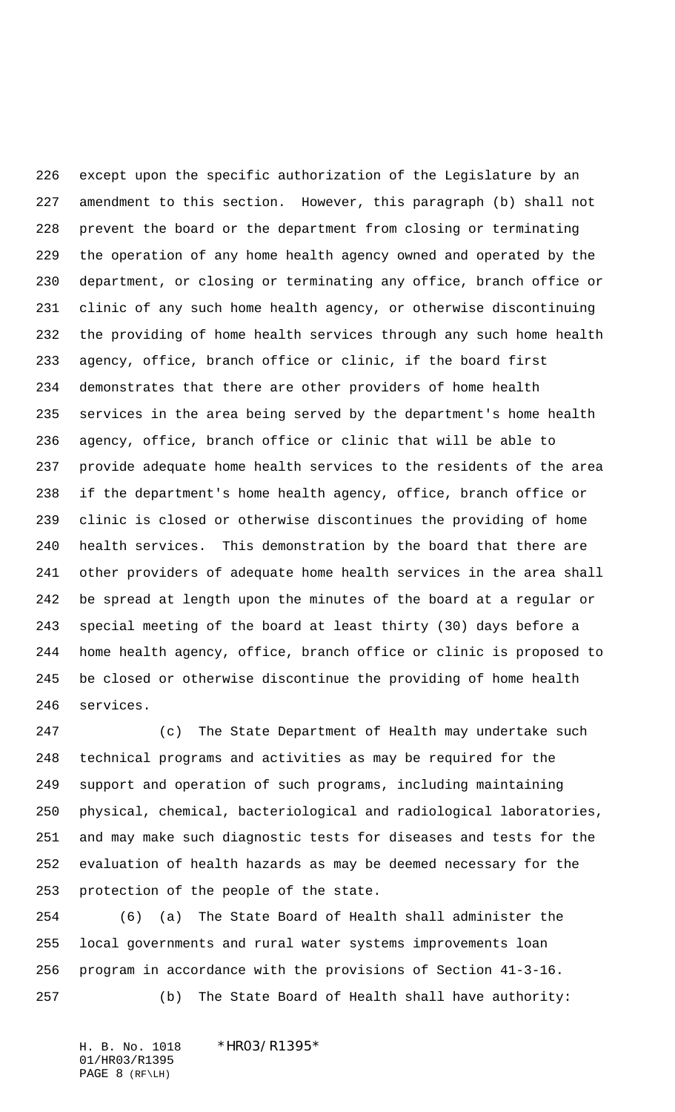except upon the specific authorization of the Legislature by an amendment to this section. However, this paragraph (b) shall not prevent the board or the department from closing or terminating the operation of any home health agency owned and operated by the department, or closing or terminating any office, branch office or clinic of any such home health agency, or otherwise discontinuing the providing of home health services through any such home health agency, office, branch office or clinic, if the board first demonstrates that there are other providers of home health services in the area being served by the department's home health agency, office, branch office or clinic that will be able to provide adequate home health services to the residents of the area if the department's home health agency, office, branch office or clinic is closed or otherwise discontinues the providing of home health services. This demonstration by the board that there are other providers of adequate home health services in the area shall be spread at length upon the minutes of the board at a regular or special meeting of the board at least thirty (30) days before a home health agency, office, branch office or clinic is proposed to be closed or otherwise discontinue the providing of home health services.

 (c) The State Department of Health may undertake such technical programs and activities as may be required for the support and operation of such programs, including maintaining physical, chemical, bacteriological and radiological laboratories, and may make such diagnostic tests for diseases and tests for the evaluation of health hazards as may be deemed necessary for the protection of the people of the state.

 (6) (a) The State Board of Health shall administer the local governments and rural water systems improvements loan program in accordance with the provisions of Section 41-3-16. (b) The State Board of Health shall have authority:

H. B. No. 1018 \*HR03/R1395\* 01/HR03/R1395 PAGE 8 (RF\LH)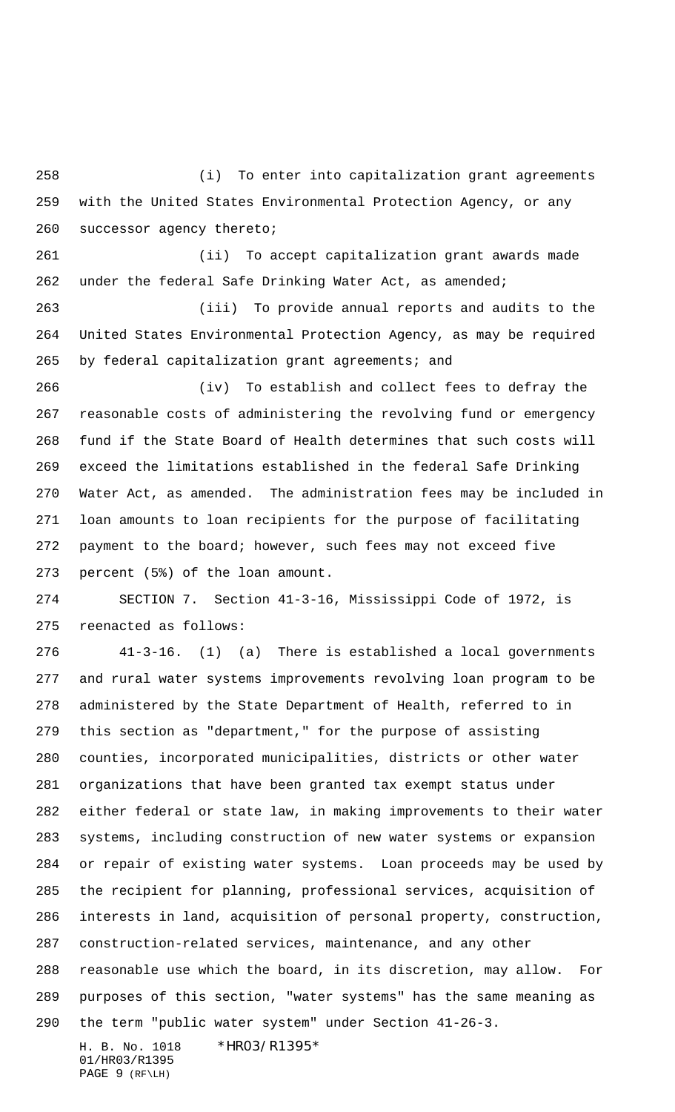(i) To enter into capitalization grant agreements with the United States Environmental Protection Agency, or any successor agency thereto;

 (ii) To accept capitalization grant awards made under the federal Safe Drinking Water Act, as amended;

 (iii) To provide annual reports and audits to the United States Environmental Protection Agency, as may be required by federal capitalization grant agreements; and

 (iv) To establish and collect fees to defray the reasonable costs of administering the revolving fund or emergency fund if the State Board of Health determines that such costs will exceed the limitations established in the federal Safe Drinking Water Act, as amended. The administration fees may be included in loan amounts to loan recipients for the purpose of facilitating payment to the board; however, such fees may not exceed five percent (5%) of the loan amount.

 SECTION 7. Section 41-3-16, Mississippi Code of 1972, is reenacted as follows:

 41-3-16. (1) (a) There is established a local governments and rural water systems improvements revolving loan program to be administered by the State Department of Health, referred to in this section as "department," for the purpose of assisting counties, incorporated municipalities, districts or other water organizations that have been granted tax exempt status under either federal or state law, in making improvements to their water systems, including construction of new water systems or expansion or repair of existing water systems. Loan proceeds may be used by the recipient for planning, professional services, acquisition of interests in land, acquisition of personal property, construction, construction-related services, maintenance, and any other reasonable use which the board, in its discretion, may allow. For purposes of this section, "water systems" has the same meaning as the term "public water system" under Section 41-26-3.

H. B. No. 1018 \*HR03/R1395\* 01/HR03/R1395 PAGE 9 (RF\LH)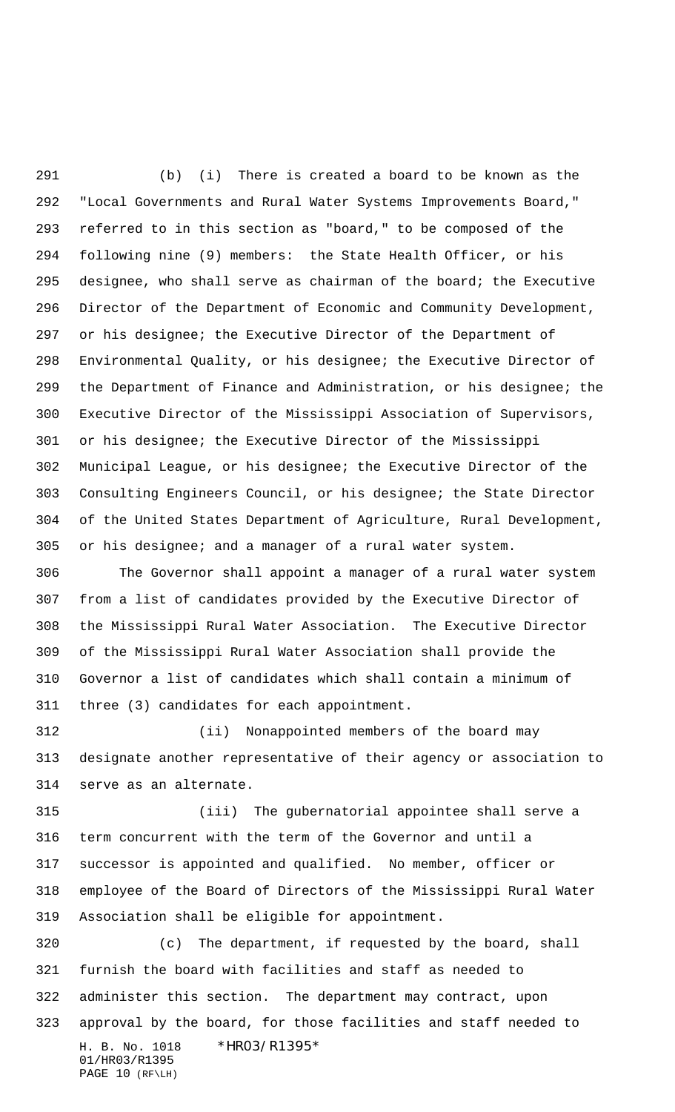(b) (i) There is created a board to be known as the "Local Governments and Rural Water Systems Improvements Board," referred to in this section as "board," to be composed of the following nine (9) members:the State Health Officer, or his designee, who shall serve as chairman of the board; the Executive Director of the Department of Economic and Community Development, or his designee; the Executive Director of the Department of Environmental Quality, or his designee; the Executive Director of the Department of Finance and Administration, or his designee; the Executive Director of the Mississippi Association of Supervisors, or his designee; the Executive Director of the Mississippi Municipal League, or his designee; the Executive Director of the Consulting Engineers Council, or his designee; the State Director of the United States Department of Agriculture, Rural Development, or his designee; and a manager of a rural water system.

 The Governor shall appoint a manager of a rural water system from a list of candidates provided by the Executive Director of the Mississippi Rural Water Association. The Executive Director of the Mississippi Rural Water Association shall provide the Governor a list of candidates which shall contain a minimum of three (3) candidates for each appointment.

 (ii) Nonappointed members of the board may designate another representative of their agency or association to serve as an alternate.

 (iii) The gubernatorial appointee shall serve a term concurrent with the term of the Governor and until a successor is appointed and qualified. No member, officer or employee of the Board of Directors of the Mississippi Rural Water Association shall be eligible for appointment.

H. B. No. 1018 \*HR03/R1395\* 01/HR03/R1395 PAGE 10 (RF\LH) (c) The department, if requested by the board, shall furnish the board with facilities and staff as needed to administer this section. The department may contract, upon approval by the board, for those facilities and staff needed to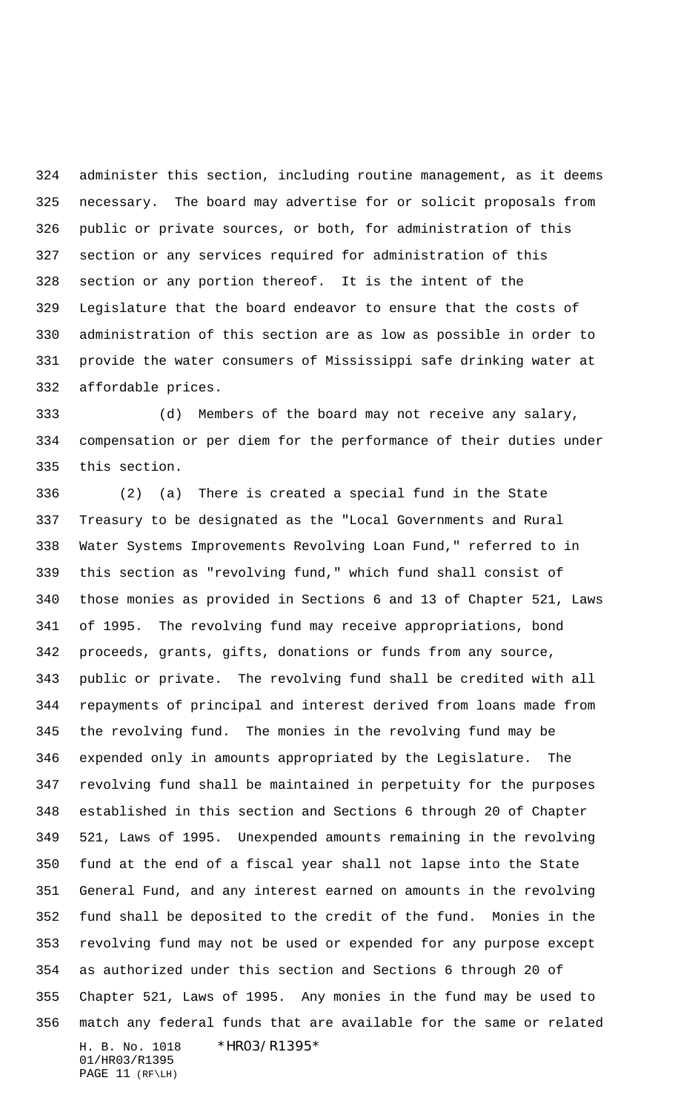administer this section, including routine management, as it deems necessary. The board may advertise for or solicit proposals from public or private sources, or both, for administration of this section or any services required for administration of this section or any portion thereof. It is the intent of the Legislature that the board endeavor to ensure that the costs of administration of this section are as low as possible in order to provide the water consumers of Mississippi safe drinking water at affordable prices.

 (d) Members of the board may not receive any salary, compensation or per diem for the performance of their duties under this section.

H. B. No. 1018 \*HR03/R1395\* 01/HR03/R1395 (2) (a) There is created a special fund in the State Treasury to be designated as the "Local Governments and Rural Water Systems Improvements Revolving Loan Fund," referred to in this section as "revolving fund," which fund shall consist of those monies as provided in Sections 6 and 13 of Chapter 521, Laws of 1995. The revolving fund may receive appropriations, bond proceeds, grants, gifts, donations or funds from any source, public or private. The revolving fund shall be credited with all repayments of principal and interest derived from loans made from the revolving fund. The monies in the revolving fund may be expended only in amounts appropriated by the Legislature. The revolving fund shall be maintained in perpetuity for the purposes established in this section and Sections 6 through 20 of Chapter 521, Laws of 1995. Unexpended amounts remaining in the revolving fund at the end of a fiscal year shall not lapse into the State General Fund, and any interest earned on amounts in the revolving fund shall be deposited to the credit of the fund. Monies in the revolving fund may not be used or expended for any purpose except as authorized under this section and Sections 6 through 20 of Chapter 521, Laws of 1995. Any monies in the fund may be used to match any federal funds that are available for the same or related

PAGE 11 (RF\LH)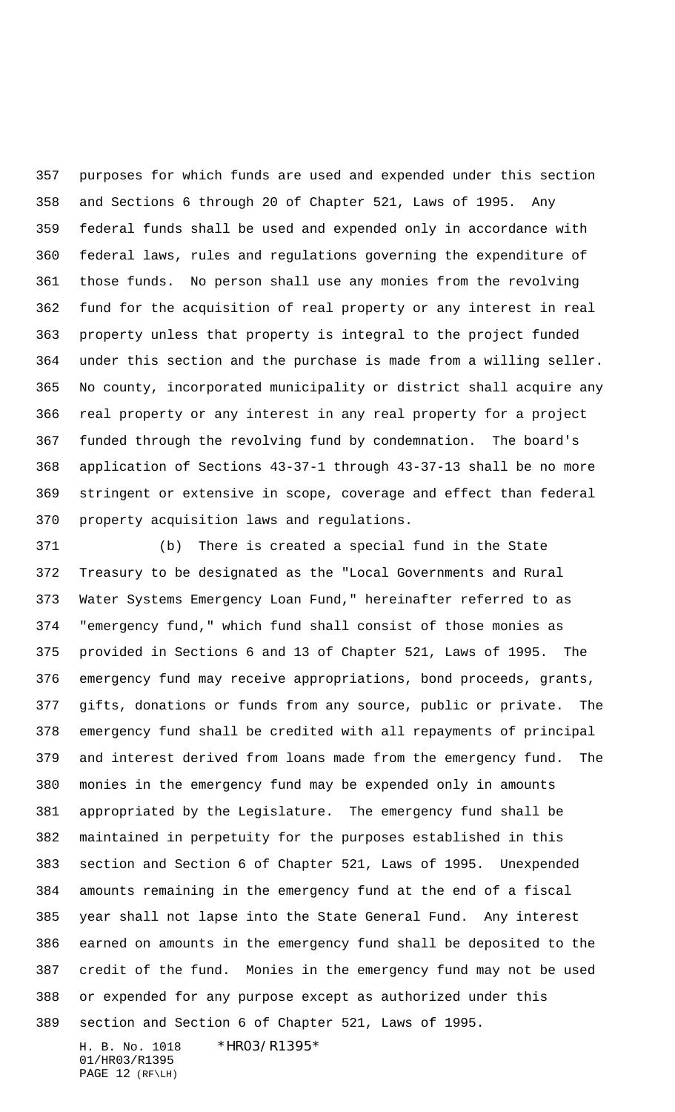purposes for which funds are used and expended under this section and Sections 6 through 20 of Chapter 521, Laws of 1995. Any federal funds shall be used and expended only in accordance with federal laws, rules and regulations governing the expenditure of those funds. No person shall use any monies from the revolving fund for the acquisition of real property or any interest in real property unless that property is integral to the project funded under this section and the purchase is made from a willing seller. No county, incorporated municipality or district shall acquire any real property or any interest in any real property for a project funded through the revolving fund by condemnation. The board's application of Sections 43-37-1 through 43-37-13 shall be no more stringent or extensive in scope, coverage and effect than federal property acquisition laws and regulations.

 (b) There is created a special fund in the State Treasury to be designated as the "Local Governments and Rural Water Systems Emergency Loan Fund," hereinafter referred to as "emergency fund," which fund shall consist of those monies as provided in Sections 6 and 13 of Chapter 521, Laws of 1995. The emergency fund may receive appropriations, bond proceeds, grants, gifts, donations or funds from any source, public or private. The emergency fund shall be credited with all repayments of principal and interest derived from loans made from the emergency fund. The monies in the emergency fund may be expended only in amounts appropriated by the Legislature. The emergency fund shall be maintained in perpetuity for the purposes established in this section and Section 6 of Chapter 521, Laws of 1995. Unexpended amounts remaining in the emergency fund at the end of a fiscal year shall not lapse into the State General Fund. Any interest earned on amounts in the emergency fund shall be deposited to the credit of the fund. Monies in the emergency fund may not be used or expended for any purpose except as authorized under this section and Section 6 of Chapter 521, Laws of 1995.

H. B. No. 1018 \*HR03/R1395\* 01/HR03/R1395 PAGE 12 (RF\LH)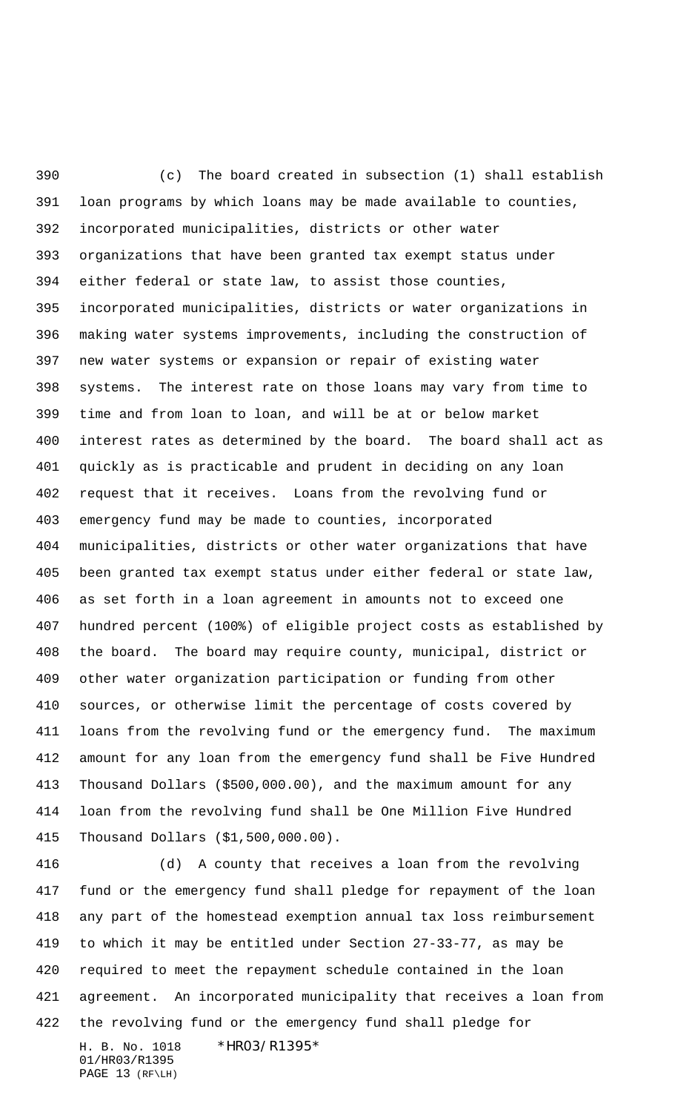(c) The board created in subsection (1) shall establish loan programs by which loans may be made available to counties, incorporated municipalities, districts or other water organizations that have been granted tax exempt status under either federal or state law, to assist those counties, incorporated municipalities, districts or water organizations in making water systems improvements, including the construction of new water systems or expansion or repair of existing water systems. The interest rate on those loans may vary from time to time and from loan to loan, and will be at or below market interest rates as determined by the board. The board shall act as quickly as is practicable and prudent in deciding on any loan request that it receives. Loans from the revolving fund or emergency fund may be made to counties, incorporated municipalities, districts or other water organizations that have been granted tax exempt status under either federal or state law, as set forth in a loan agreement in amounts not to exceed one hundred percent (100%) of eligible project costs as established by the board. The board may require county, municipal, district or other water organization participation or funding from other sources, or otherwise limit the percentage of costs covered by loans from the revolving fund or the emergency fund. The maximum amount for any loan from the emergency fund shall be Five Hundred Thousand Dollars (\$500,000.00), and the maximum amount for any loan from the revolving fund shall be One Million Five Hundred Thousand Dollars (\$1,500,000.00).

H. B. No. 1018 \*HR03/R1395\* 01/HR03/R1395 (d) A county that receives a loan from the revolving fund or the emergency fund shall pledge for repayment of the loan any part of the homestead exemption annual tax loss reimbursement to which it may be entitled under Section 27-33-77, as may be required to meet the repayment schedule contained in the loan agreement. An incorporated municipality that receives a loan from the revolving fund or the emergency fund shall pledge for

```
PAGE 13 (RF\LH)
```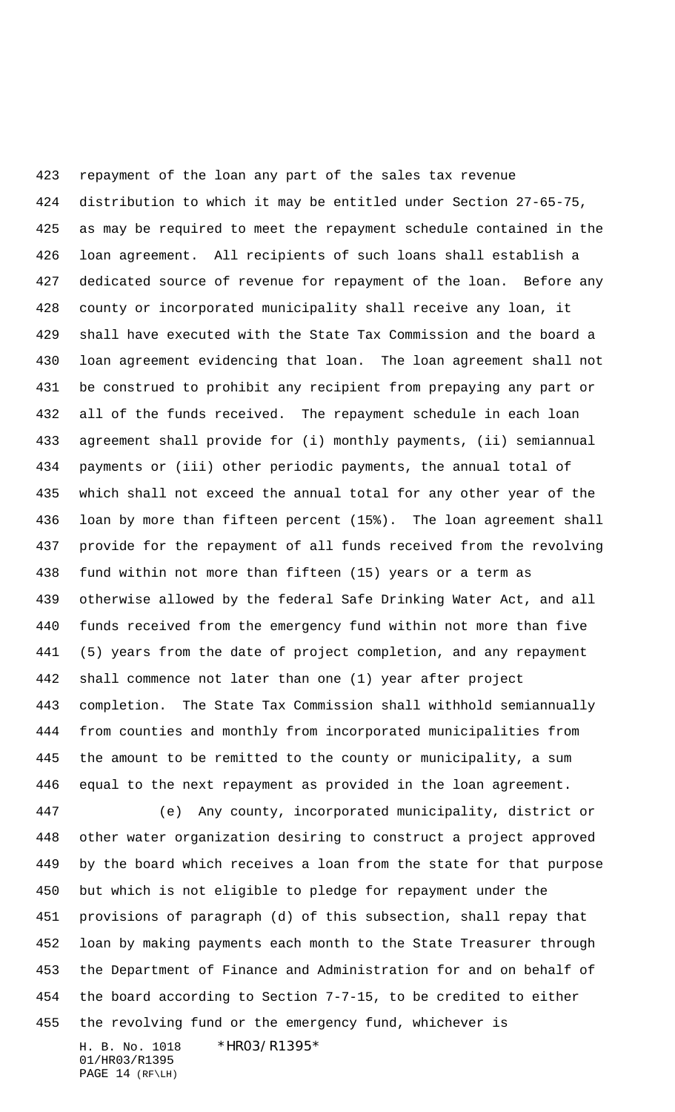repayment of the loan any part of the sales tax revenue distribution to which it may be entitled under Section 27-65-75, as may be required to meet the repayment schedule contained in the loan agreement. All recipients of such loans shall establish a dedicated source of revenue for repayment of the loan. Before any county or incorporated municipality shall receive any loan, it shall have executed with the State Tax Commission and the board a loan agreement evidencing that loan. The loan agreement shall not be construed to prohibit any recipient from prepaying any part or all of the funds received. The repayment schedule in each loan agreement shall provide for (i) monthly payments, (ii) semiannual payments or (iii) other periodic payments, the annual total of which shall not exceed the annual total for any other year of the loan by more than fifteen percent (15%). The loan agreement shall provide for the repayment of all funds received from the revolving fund within not more than fifteen (15) years or a term as otherwise allowed by the federal Safe Drinking Water Act, and all funds received from the emergency fund within not more than five (5) years from the date of project completion, and any repayment shall commence not later than one (1) year after project completion. The State Tax Commission shall withhold semiannually from counties and monthly from incorporated municipalities from the amount to be remitted to the county or municipality, a sum equal to the next repayment as provided in the loan agreement. (e) Any county, incorporated municipality, district or other water organization desiring to construct a project approved by the board which receives a loan from the state for that purpose but which is not eligible to pledge for repayment under the

 provisions of paragraph (d) of this subsection, shall repay that loan by making payments each month to the State Treasurer through the Department of Finance and Administration for and on behalf of the board according to Section 7-7-15, to be credited to either the revolving fund or the emergency fund, whichever is

H. B. No. 1018 \*HR03/R1395\* 01/HR03/R1395 PAGE 14 (RF\LH)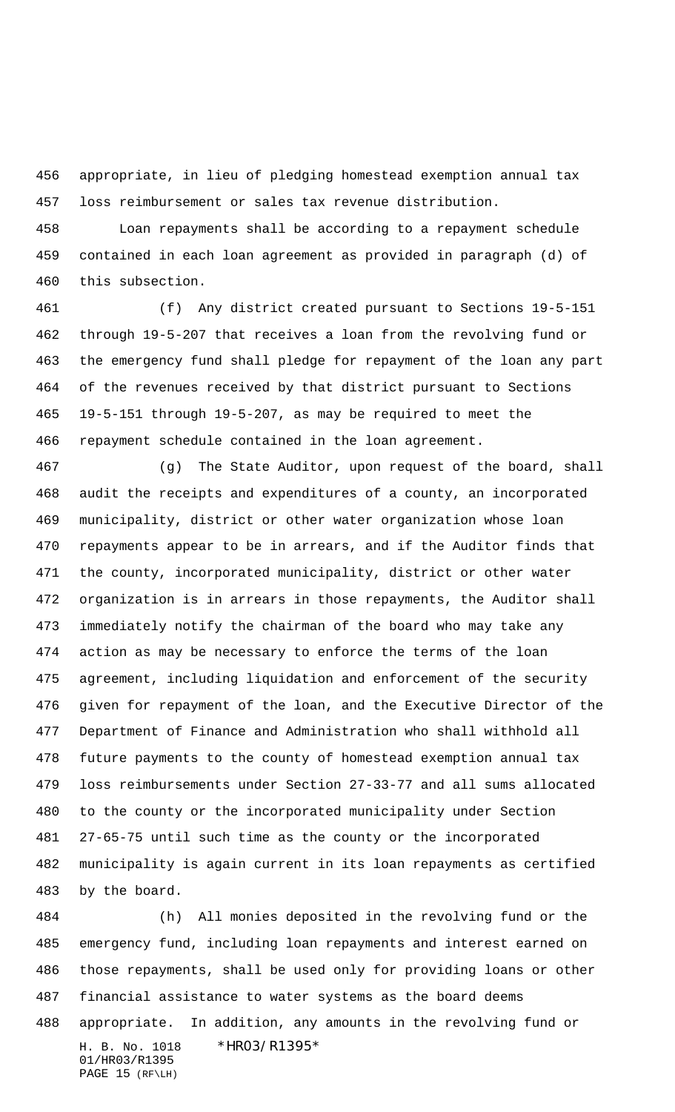appropriate, in lieu of pledging homestead exemption annual tax loss reimbursement or sales tax revenue distribution.

 Loan repayments shall be according to a repayment schedule contained in each loan agreement as provided in paragraph (d) of this subsection.

 (f) Any district created pursuant to Sections 19-5-151 through 19-5-207 that receives a loan from the revolving fund or the emergency fund shall pledge for repayment of the loan any part of the revenues received by that district pursuant to Sections 19-5-151 through 19-5-207, as may be required to meet the repayment schedule contained in the loan agreement.

 (g) The State Auditor, upon request of the board, shall audit the receipts and expenditures of a county, an incorporated municipality, district or other water organization whose loan repayments appear to be in arrears, and if the Auditor finds that the county, incorporated municipality, district or other water organization is in arrears in those repayments, the Auditor shall immediately notify the chairman of the board who may take any action as may be necessary to enforce the terms of the loan agreement, including liquidation and enforcement of the security given for repayment of the loan, and the Executive Director of the Department of Finance and Administration who shall withhold all future payments to the county of homestead exemption annual tax loss reimbursements under Section 27-33-77 and all sums allocated to the county or the incorporated municipality under Section 27-65-75 until such time as the county or the incorporated municipality is again current in its loan repayments as certified by the board.

H. B. No. 1018 \*HR03/R1395\* 01/HR03/R1395 PAGE 15 (RF\LH) (h) All monies deposited in the revolving fund or the emergency fund, including loan repayments and interest earned on those repayments, shall be used only for providing loans or other financial assistance to water systems as the board deems appropriate. In addition, any amounts in the revolving fund or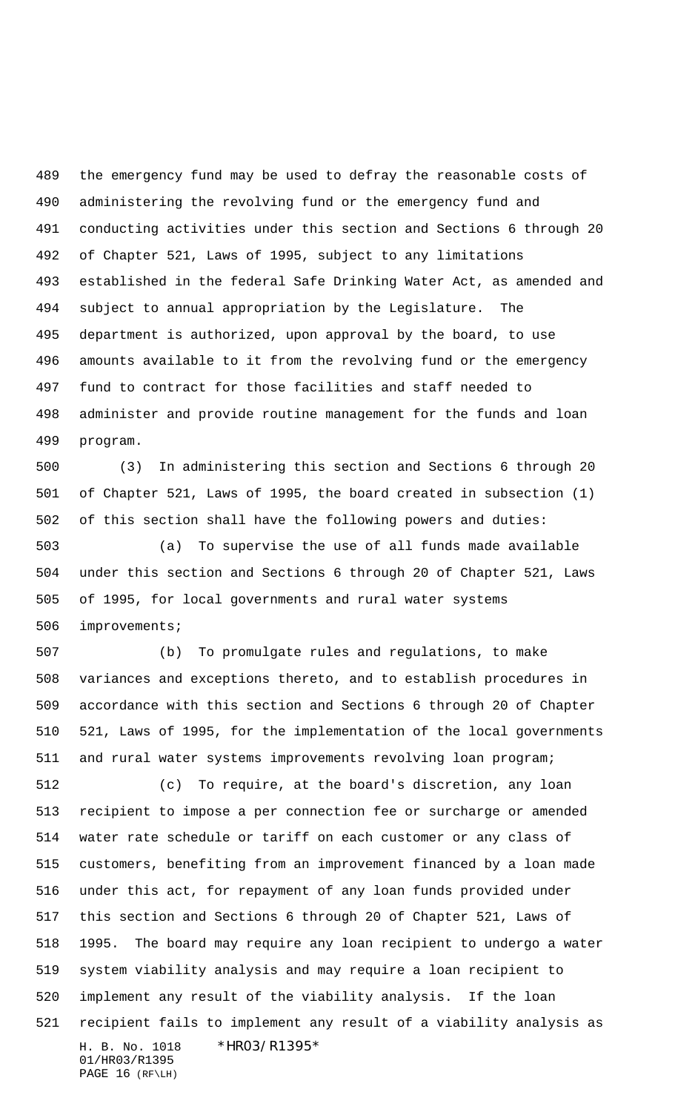the emergency fund may be used to defray the reasonable costs of administering the revolving fund or the emergency fund and conducting activities under this section and Sections 6 through 20 of Chapter 521, Laws of 1995, subject to any limitations established in the federal Safe Drinking Water Act, as amended and subject to annual appropriation by the Legislature. The department is authorized, upon approval by the board, to use amounts available to it from the revolving fund or the emergency fund to contract for those facilities and staff needed to administer and provide routine management for the funds and loan program.

 (3) In administering this section and Sections 6 through 20 of Chapter 521, Laws of 1995, the board created in subsection (1) of this section shall have the following powers and duties:

 (a) To supervise the use of all funds made available under this section and Sections 6 through 20 of Chapter 521, Laws of 1995, for local governments and rural water systems improvements;

 (b) To promulgate rules and regulations, to make variances and exceptions thereto, and to establish procedures in accordance with this section and Sections 6 through 20 of Chapter 521, Laws of 1995, for the implementation of the local governments and rural water systems improvements revolving loan program;

H. B. No. 1018 \*HR03/R1395\* 01/HR03/R1395 PAGE 16 (RF\LH) (c) To require, at the board's discretion, any loan recipient to impose a per connection fee or surcharge or amended water rate schedule or tariff on each customer or any class of customers, benefiting from an improvement financed by a loan made under this act, for repayment of any loan funds provided under this section and Sections 6 through 20 of Chapter 521, Laws of 1995. The board may require any loan recipient to undergo a water system viability analysis and may require a loan recipient to implement any result of the viability analysis. If the loan recipient fails to implement any result of a viability analysis as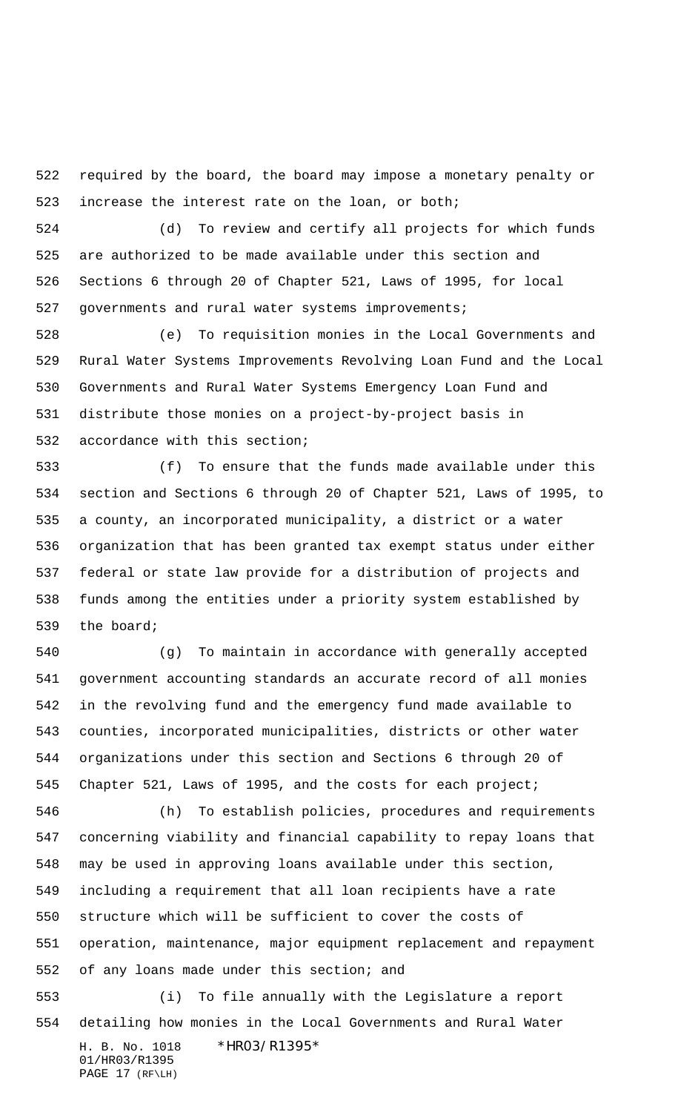required by the board, the board may impose a monetary penalty or increase the interest rate on the loan, or both;

 (d) To review and certify all projects for which funds are authorized to be made available under this section and Sections 6 through 20 of Chapter 521, Laws of 1995, for local governments and rural water systems improvements;

 (e) To requisition monies in the Local Governments and Rural Water Systems Improvements Revolving Loan Fund and the Local Governments and Rural Water Systems Emergency Loan Fund and distribute those monies on a project-by-project basis in accordance with this section;

 (f) To ensure that the funds made available under this section and Sections 6 through 20 of Chapter 521, Laws of 1995, to a county, an incorporated municipality, a district or a water organization that has been granted tax exempt status under either federal or state law provide for a distribution of projects and funds among the entities under a priority system established by the board;

 (g) To maintain in accordance with generally accepted government accounting standards an accurate record of all monies in the revolving fund and the emergency fund made available to counties, incorporated municipalities, districts or other water organizations under this section and Sections 6 through 20 of Chapter 521, Laws of 1995, and the costs for each project;

 (h) To establish policies, procedures and requirements concerning viability and financial capability to repay loans that may be used in approving loans available under this section, including a requirement that all loan recipients have a rate structure which will be sufficient to cover the costs of operation, maintenance, major equipment replacement and repayment of any loans made under this section; and

H. B. No. 1018 \*HR03/R1395\* 01/HR03/R1395 PAGE 17 (RF\LH) (i) To file annually with the Legislature a report detailing how monies in the Local Governments and Rural Water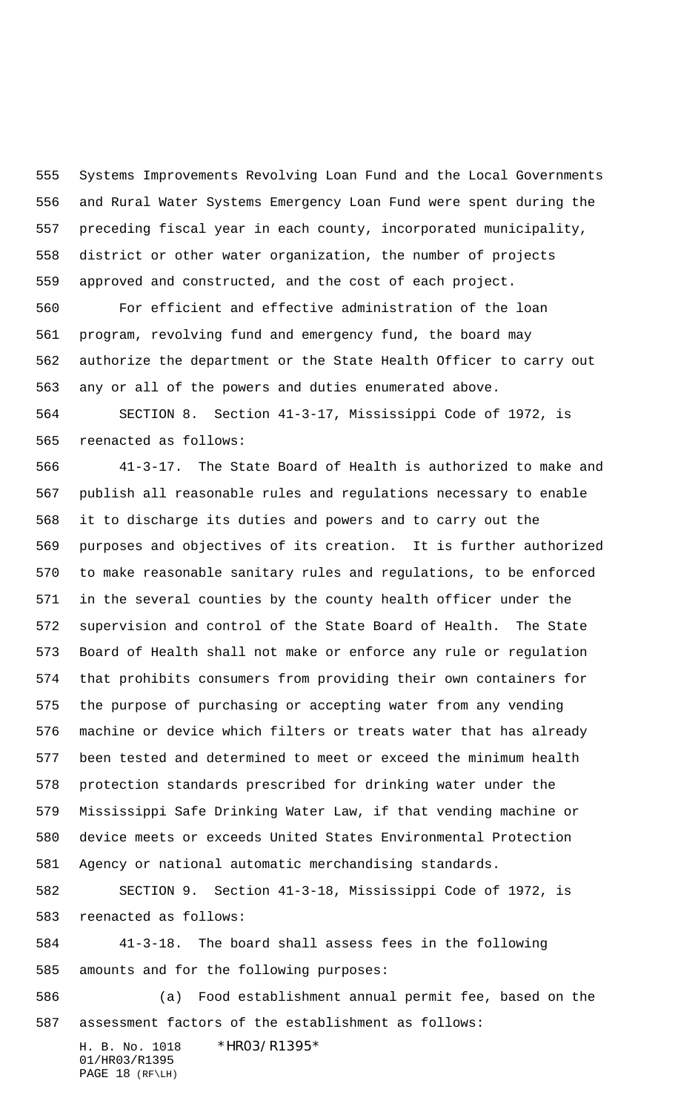Systems Improvements Revolving Loan Fund and the Local Governments and Rural Water Systems Emergency Loan Fund were spent during the preceding fiscal year in each county, incorporated municipality, district or other water organization, the number of projects approved and constructed, and the cost of each project.

 For efficient and effective administration of the loan program, revolving fund and emergency fund, the board may authorize the department or the State Health Officer to carry out any or all of the powers and duties enumerated above.

 SECTION 8. Section 41-3-17, Mississippi Code of 1972, is reenacted as follows:

 41-3-17. The State Board of Health is authorized to make and publish all reasonable rules and regulations necessary to enable it to discharge its duties and powers and to carry out the purposes and objectives of its creation. It is further authorized to make reasonable sanitary rules and regulations, to be enforced in the several counties by the county health officer under the supervision and control of the State Board of Health. The State Board of Health shall not make or enforce any rule or regulation that prohibits consumers from providing their own containers for the purpose of purchasing or accepting water from any vending machine or device which filters or treats water that has already been tested and determined to meet or exceed the minimum health protection standards prescribed for drinking water under the Mississippi Safe Drinking Water Law, if that vending machine or device meets or exceeds United States Environmental Protection Agency or national automatic merchandising standards.

 SECTION 9. Section 41-3-18, Mississippi Code of 1972, is reenacted as follows:

 41-3-18. The board shall assess fees in the following amounts and for the following purposes:

 (a) Food establishment annual permit fee, based on the assessment factors of the establishment as follows:

H. B. No. 1018 \*HR03/R1395\* 01/HR03/R1395 PAGE 18 (RF\LH)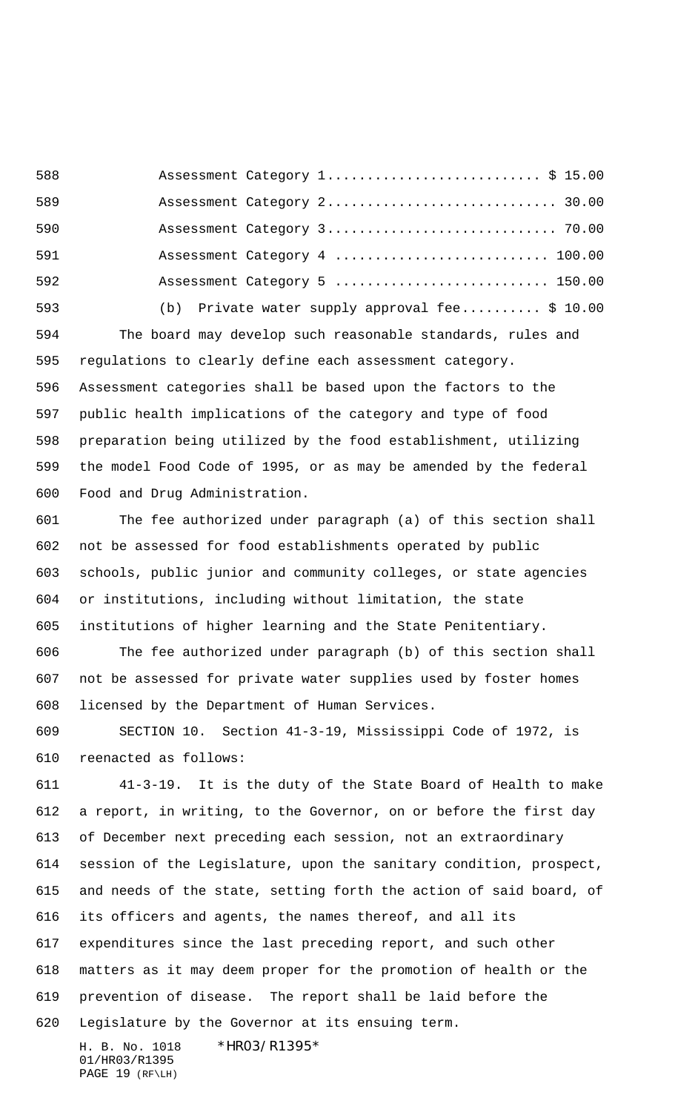588 Assessment Category 1................................... \$ 15.00 589 Assessment Category 2.................................. 30.00 Assessment Category 3............................. 70.00 591 Assessment Category 4 ............................. 100.00 592 Assessment Category 5 ............................. 150.00

(b) Private water supply approval fee.......... \$ 10.00

 The board may develop such reasonable standards, rules and regulations to clearly define each assessment category. Assessment categories shall be based upon the factors to the public health implications of the category and type of food preparation being utilized by the food establishment, utilizing the model Food Code of 1995, or as may be amended by the federal Food and Drug Administration.

 The fee authorized under paragraph (a) of this section shall not be assessed for food establishments operated by public schools, public junior and community colleges, or state agencies or institutions, including without limitation, the state institutions of higher learning and the State Penitentiary.

 The fee authorized under paragraph (b) of this section shall not be assessed for private water supplies used by foster homes licensed by the Department of Human Services.

 SECTION 10. Section 41-3-19, Mississippi Code of 1972, is reenacted as follows:

 41-3-19. It is the duty of the State Board of Health to make a report, in writing, to the Governor, on or before the first day of December next preceding each session, not an extraordinary session of the Legislature, upon the sanitary condition, prospect, and needs of the state, setting forth the action of said board, of its officers and agents, the names thereof, and all its expenditures since the last preceding report, and such other matters as it may deem proper for the promotion of health or the prevention of disease. The report shall be laid before the Legislature by the Governor at its ensuing term.

H. B. No. 1018 \*HR03/R1395\* 01/HR03/R1395 PAGE 19 (RF\LH)